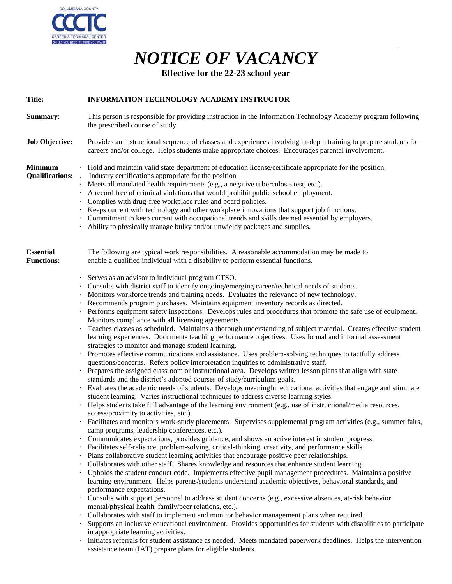

## *NOTICE OF VACANCY*

**Effective for the 22-23 school year**

| <b>Title:</b>                            | INFORMATION TECHNOLOGY ACADEMY INSTRUCTOR                                                                                                                                                                                                                                                                                                                                                                                                                                                                                                                                                                                                                                                                                                                                                                                                                                                                                                                                                                                                                                                                                                                                                                                                                                                                                                                                                                                                                                                                                                                                                                                                                                                                                                                                                                                                                                                                                                                                                                                                                                                                                                                                                                                                                                                                                                                                                                                                                                                                                                                                                                                                                                                                                                                                                                                                                                                                                                                                                                     |
|------------------------------------------|---------------------------------------------------------------------------------------------------------------------------------------------------------------------------------------------------------------------------------------------------------------------------------------------------------------------------------------------------------------------------------------------------------------------------------------------------------------------------------------------------------------------------------------------------------------------------------------------------------------------------------------------------------------------------------------------------------------------------------------------------------------------------------------------------------------------------------------------------------------------------------------------------------------------------------------------------------------------------------------------------------------------------------------------------------------------------------------------------------------------------------------------------------------------------------------------------------------------------------------------------------------------------------------------------------------------------------------------------------------------------------------------------------------------------------------------------------------------------------------------------------------------------------------------------------------------------------------------------------------------------------------------------------------------------------------------------------------------------------------------------------------------------------------------------------------------------------------------------------------------------------------------------------------------------------------------------------------------------------------------------------------------------------------------------------------------------------------------------------------------------------------------------------------------------------------------------------------------------------------------------------------------------------------------------------------------------------------------------------------------------------------------------------------------------------------------------------------------------------------------------------------------------------------------------------------------------------------------------------------------------------------------------------------------------------------------------------------------------------------------------------------------------------------------------------------------------------------------------------------------------------------------------------------------------------------------------------------------------------------------------------------|
| Summary:                                 | This person is responsible for providing instruction in the Information Technology Academy program following<br>the prescribed course of study.                                                                                                                                                                                                                                                                                                                                                                                                                                                                                                                                                                                                                                                                                                                                                                                                                                                                                                                                                                                                                                                                                                                                                                                                                                                                                                                                                                                                                                                                                                                                                                                                                                                                                                                                                                                                                                                                                                                                                                                                                                                                                                                                                                                                                                                                                                                                                                                                                                                                                                                                                                                                                                                                                                                                                                                                                                                               |
| <b>Job Objective:</b>                    | Provides an instructional sequence of classes and experiences involving in-depth training to prepare students for<br>careers and/or college. Helps students make appropriate choices. Encourages parental involvement.                                                                                                                                                                                                                                                                                                                                                                                                                                                                                                                                                                                                                                                                                                                                                                                                                                                                                                                                                                                                                                                                                                                                                                                                                                                                                                                                                                                                                                                                                                                                                                                                                                                                                                                                                                                                                                                                                                                                                                                                                                                                                                                                                                                                                                                                                                                                                                                                                                                                                                                                                                                                                                                                                                                                                                                        |
| <b>Minimum</b><br><b>Qualifications:</b> | · Hold and maintain valid state department of education license/certificate appropriate for the position.<br>Industry certifications appropriate for the position<br>Meets all mandated health requirements (e.g., a negative tuberculosis test, etc.).<br>A record free of criminal violations that would prohibit public school employment.<br>Complies with drug-free workplace rules and board policies.<br>Keeps current with technology and other workplace innovations that support job functions.<br>· Commitment to keep current with occupational trends and skills deemed essential by employers.<br>Ability to physically manage bulky and/or unwieldy packages and supplies.                                                                                                                                                                                                                                                                                                                                                                                                                                                                                                                                                                                                                                                                                                                                                                                                                                                                                                                                                                                                                                                                                                                                                                                                                                                                                                                                                                                                                                                                                                                                                                                                                                                                                                                                                                                                                                                                                                                                                                                                                                                                                                                                                                                                                                                                                                                     |
| <b>Essential</b><br><b>Functions:</b>    | The following are typical work responsibilities. A reasonable accommodation may be made to<br>enable a qualified individual with a disability to perform essential functions.                                                                                                                                                                                                                                                                                                                                                                                                                                                                                                                                                                                                                                                                                                                                                                                                                                                                                                                                                                                                                                                                                                                                                                                                                                                                                                                                                                                                                                                                                                                                                                                                                                                                                                                                                                                                                                                                                                                                                                                                                                                                                                                                                                                                                                                                                                                                                                                                                                                                                                                                                                                                                                                                                                                                                                                                                                 |
|                                          | Serves as an advisor to individual program CTSO.<br>Consults with district staff to identify ongoing/emerging career/technical needs of students.<br>Monitors workforce trends and training needs. Evaluates the relevance of new technology.<br>Recommends program purchases. Maintains equipment inventory records as directed.<br>Performs equipment safety inspections. Develops rules and procedures that promote the safe use of equipment.<br>Monitors compliance with all licensing agreements.<br>Teaches classes as scheduled. Maintains a thorough understanding of subject material. Creates effective student<br>learning experiences. Documents teaching performance objectives. Uses formal and informal assessment<br>strategies to monitor and manage student learning.<br>· Promotes effective communications and assistance. Uses problem-solving techniques to tactfully address<br>questions/concerns. Refers policy interpretation inquiries to administrative staff.<br>Prepares the assigned classroom or instructional area. Develops written lesson plans that align with state<br>standards and the district's adopted courses of study/curriculum goals.<br>Evaluates the academic needs of students. Develops meaningful educational activities that engage and stimulate<br>student learning. Varies instructional techniques to address diverse learning styles.<br>Helps students take full advantage of the learning environment $(e.g., use of instructional/media resources,$<br>access/proximity to activities, etc.).<br>Facilitates and monitors work-study placements. Supervises supplemental program activities (e.g., summer fairs,<br>camp programs, leadership conferences, etc.).<br>Communicates expectations, provides guidance, and shows an active interest in student progress.<br>Facilitates self-reliance, problem-solving, critical-thinking, creativity, and performance skills.<br>· Plans collaborative student learning activities that encourage positive peer relationships.<br>Collaborates with other staff. Shares knowledge and resources that enhance student learning.<br>Upholds the student conduct code. Implements effective pupil management procedures. Maintains a positive<br>learning environment. Helps parents/students understand academic objectives, behavioral standards, and<br>performance expectations.<br>Consults with support personnel to address student concerns (e.g., excessive absences, at-risk behavior,<br>mental/physical health, family/peer relations, etc.).<br>Collaborates with staff to implement and monitor behavior management plans when required.<br>Supports an inclusive educational environment. Provides opportunities for students with disabilities to participate<br>in appropriate learning activities.<br>Initiates referrals for student assistance as needed. Meets mandated paperwork deadlines. Helps the intervention<br>assistance team (IAT) prepare plans for eligible students. |